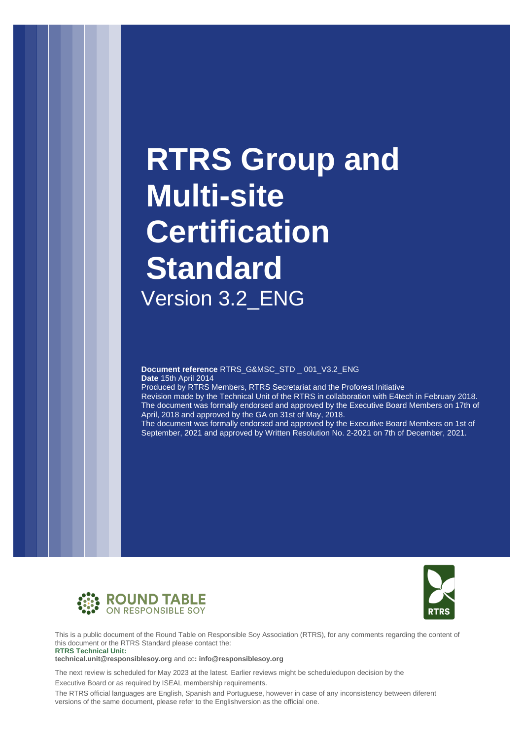# **RTRS Group and Multi-site Certification Standard** Version 3.2\_ENG

**Document reference** RTRS\_G&MSC\_STD \_ 001\_V3.2\_ENG **Date** 15th April 2014

Produced by RTRS Members, RTRS Secretariat and the Proforest Initiative

Revision made by the Technical Unit of the RTRS in collaboration with E4tech in February 2018. The document was formally endorsed and approved by the Executive Board Members on 17th of April, 2018 and approved by the GA on 31st of May, 2018.

The document was formally endorsed and approved by the Executive Board Members on 1st of September, 2021 and approved by Written Resolution No. 2-2021 on 7th of December, 2021.





This is a public document of the Round Table on Responsible Soy Association (RTRS), for any comments regarding the content of this document or the RTRS Standard please contact the: **RTRS Technical Unit:**

**[technical.unit@responsiblesoy.org](mailto:technical.unit@responsiblesoy.org)** and cc**[: info@responsiblesoy.org](mailto:info@responsiblesoy.org)**

The next review is scheduled for May 2023 at the latest. Earlier reviews might be scheduledupon decision by the

Executive Board or as required by ISEAL membership requirements.

The RTRS official languages are English, Spanish and Portuguese, however in case of any inconsistency between diferent versions of the same document, please refer to the Englishversion as the official one.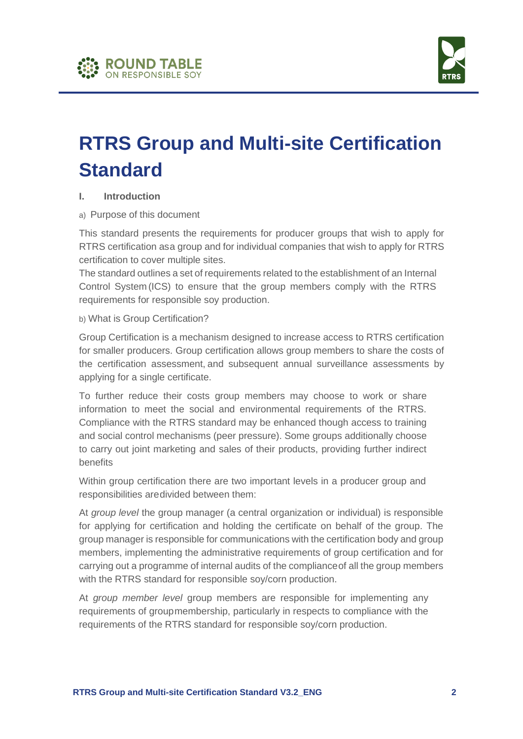



# **RTRS Group and Multi-site Certification Standard**

#### **I. Introduction**

#### a) Purpose of this document

This standard presents the requirements for producer groups that wish to apply for RTRS certification asa group and for individual companies that wish to apply for RTRS certification to cover multiple sites.

The standard outlines a set of requirements related to the establishment of an Internal Control System (ICS) to ensure that the group members comply with the RTRS requirements for responsible soy production.

b) What is Group Certification?

Group Certification is a mechanism designed to increase access to RTRS certification for smaller producers. Group certification allows group members to share the costs of the certification assessment, and subsequent annual surveillance assessments by applying for a single certificate.

To further reduce their costs group members may choose to work or share information to meet the social and environmental requirements of the RTRS. Compliance with the RTRS standard may be enhanced though access to training and social control mechanisms (peer pressure). Some groups additionally choose to carry out joint marketing and sales of their products, providing further indirect benefits

Within group certification there are two important levels in a producer group and responsibilities aredivided between them:

At *group level* the group manager (a central organization or individual) is responsible for applying for certification and holding the certificate on behalf of the group. The group manager is responsible for communications with the certification body and group members, implementing the administrative requirements of group certification and for carrying out a programme of internal audits of the complianceof all the group members with the RTRS standard for responsible soy/corn production.

At *group member level* group members are responsible for implementing any requirements of groupmembership, particularly in respects to compliance with the requirements of the RTRS standard for responsible soy/corn production.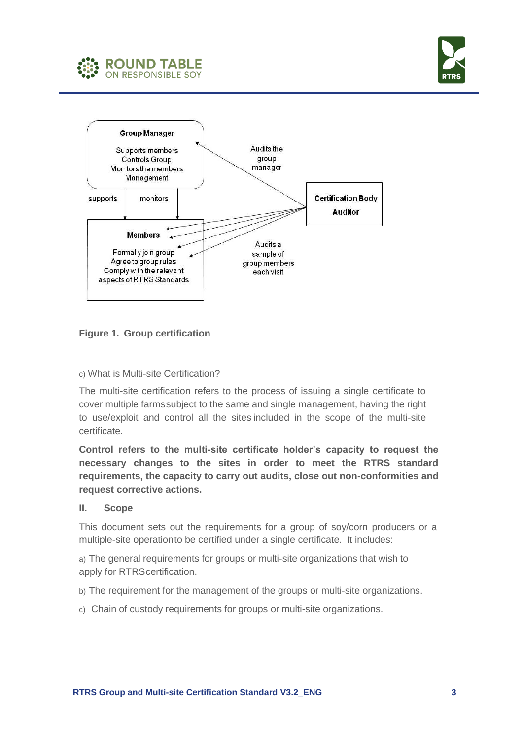





**Figure 1. Group certification**

### c) What is Multi-site Certification?

The multi-site certification refers to the process of issuing a single certificate to cover multiple farmssubject to the same and single management, having the right to use/exploit and control all the sites included in the scope of the multi-site certificate.

**Control refers to the multi-site certificate holder's capacity to request the necessary changes to the sites in order to meet the RTRS standard requirements, the capacity to carry out audits, close out non-conformities and request corrective actions.**

#### **II. Scope**

This document sets out the requirements for a group of soy/corn producers or a multiple-site operationto be certified under a single certificate. It includes:

a) The general requirements for groups or multi-site organizations that wish to apply for RTRScertification.

- b) The requirement for the management of the groups or multi-site organizations.
- c) Chain of custody requirements for groups or multi-site organizations.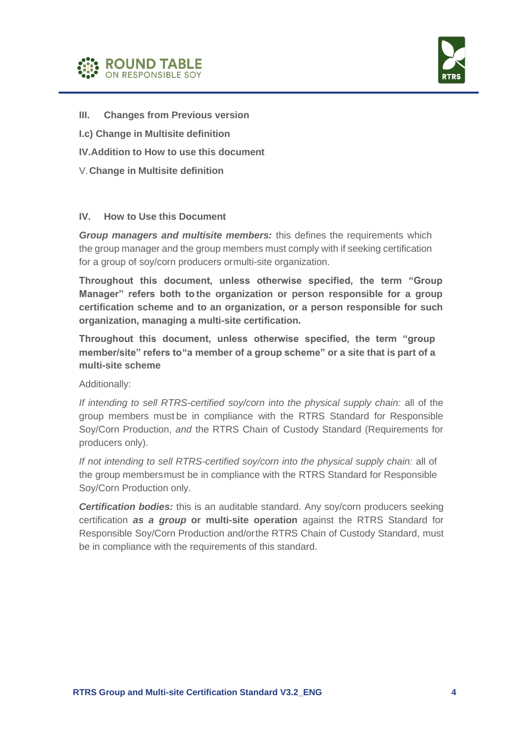



- **III. Changes from Previous version**
- **I.c) Change in Multisite definition**
- **IV.Addition to How to use this document**
- V.**Change in Multisite definition**

#### **IV. How to Use this Document**

*Group managers and multisite members:* this defines the requirements which the group manager and the group members must comply with if seeking certification for a group of soy/corn producers ormulti-site organization.

**Throughout this document, unless otherwise specified, the term "Group Manager" refers both to the organization or person responsible for a group certification scheme and to an organization, or a person responsible for such organization, managing a multi-site certification.**

**Throughout this document, unless otherwise specified, the term "group member/site" refers to"a member of a group scheme" or a site that is part of a multi-site scheme**

Additionally:

*If intending to sell RTRS-certified soy/corn into the physical supply chain:* all of the group members must be in compliance with the RTRS Standard for Responsible Soy/Corn Production, *and* the RTRS Chain of Custody Standard (Requirements for producers only).

*If not intending to sell RTRS-certified soy/corn into the physical supply chain:* all of the group membersmust be in compliance with the RTRS Standard for Responsible Soy/Corn Production only.

*Certification bodies:* this is an auditable standard. Any soy/corn producers seeking certification *as a group* **or multi-site operation** against the RTRS Standard for Responsible Soy/Corn Production and/orthe RTRS Chain of Custody Standard, must be in compliance with the requirements of this standard.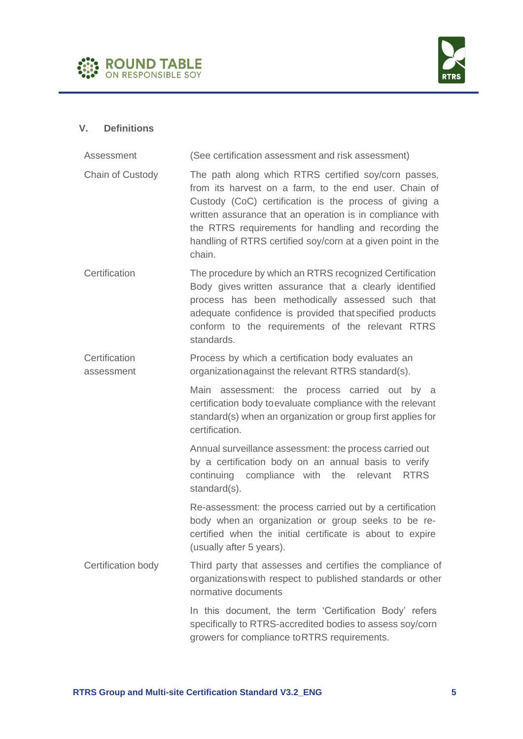



# **V. Definitions**

| Assessment                  | (See certification assessment and risk assessment)                                                                                                                                                                                                                                                                                                                    |
|-----------------------------|-----------------------------------------------------------------------------------------------------------------------------------------------------------------------------------------------------------------------------------------------------------------------------------------------------------------------------------------------------------------------|
| Chain of Custody            | The path along which RTRS certified soy/corn passes,<br>from its harvest on a farm, to the end user. Chain of<br>Custody (CoC) certification is the process of giving a<br>written assurance that an operation is in compliance with<br>the RTRS requirements for handling and recording the<br>handling of RTRS certified soy/corn at a given point in the<br>chain. |
| Certification               | The procedure by which an RTRS recognized Certification<br>Body gives written assurance that a clearly identified<br>process has been methodically assessed such that<br>adequate confidence is provided that specified products<br>conform to the requirements of the relevant RTRS<br>standards.                                                                    |
| Certification<br>assessment | Process by which a certification body evaluates an<br>organizationagainst the relevant RTRS standard(s).                                                                                                                                                                                                                                                              |
|                             | Main assessment: the process carried out by a<br>certification body toevaluate compliance with the relevant<br>standard(s) when an organization or group first applies for<br>certification.                                                                                                                                                                          |
|                             | Annual surveillance assessment: the process carried out<br>by a certification body on an annual basis to verify<br>continuing compliance with the relevant RTRS<br>standard(s).                                                                                                                                                                                       |
|                             | Re-assessment: the process carried out by a certification<br>body when an organization or group seeks to be re-<br>certified when the initial certificate is about to expire<br>(usually after 5 years).                                                                                                                                                              |
| Certification body          | Third party that assesses and certifies the compliance of<br>organizations with respect to published standards or other<br>normative documents                                                                                                                                                                                                                        |
|                             | In this document, the term 'Certification Body' refers<br>specifically to RTRS-accredited bodies to assess soy/corn<br>growers for compliance to RTRS requirements.                                                                                                                                                                                                   |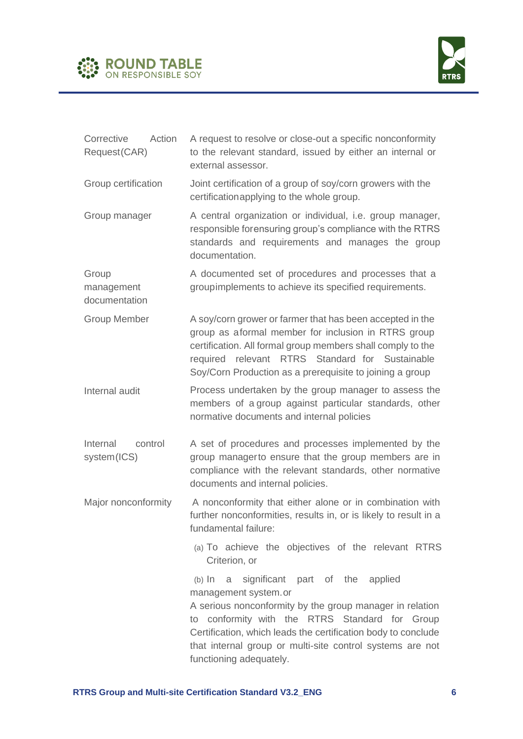



| Corrective<br>Action<br>Request(CAR) | A request to resolve or close-out a specific nonconformity<br>to the relevant standard, issued by either an internal or<br>external assessor.                                                                                                                                                                                                   |
|--------------------------------------|-------------------------------------------------------------------------------------------------------------------------------------------------------------------------------------------------------------------------------------------------------------------------------------------------------------------------------------------------|
| Group certification                  | Joint certification of a group of soy/corn growers with the<br>certification applying to the whole group.                                                                                                                                                                                                                                       |
| Group manager                        | A central organization or individual, i.e. group manager,<br>responsible forensuring group's compliance with the RTRS<br>standards and requirements and manages the group<br>documentation.                                                                                                                                                     |
| Group<br>management<br>documentation | A documented set of procedures and processes that a<br>groupimplements to achieve its specified requirements.                                                                                                                                                                                                                                   |
| <b>Group Member</b>                  | A soy/corn grower or farmer that has been accepted in the<br>group as aformal member for inclusion in RTRS group<br>certification. All formal group members shall comply to the<br>required relevant RTRS Standard for Sustainable<br>Soy/Corn Production as a prerequisite to joining a group                                                  |
| Internal audit                       | Process undertaken by the group manager to assess the<br>members of a group against particular standards, other<br>normative documents and internal policies                                                                                                                                                                                    |
| Internal<br>control<br>system(ICS)   | A set of procedures and processes implemented by the<br>group managerto ensure that the group members are in<br>compliance with the relevant standards, other normative<br>documents and internal policies.                                                                                                                                     |
| Major nonconformity                  | A nonconformity that either alone or in combination with<br>further nonconformities, results in, or is likely to result in a<br>fundamental failure:                                                                                                                                                                                            |
|                                      | (a) To achieve the objectives of the relevant RTRS<br>Criterion, or                                                                                                                                                                                                                                                                             |
|                                      | significant part of the applied<br>$(b)$ In<br>a<br>management system.or<br>A serious nonconformity by the group manager in relation<br>to conformity with the RTRS Standard for Group<br>Certification, which leads the certification body to conclude<br>that internal group or multi-site control systems are not<br>functioning adequately. |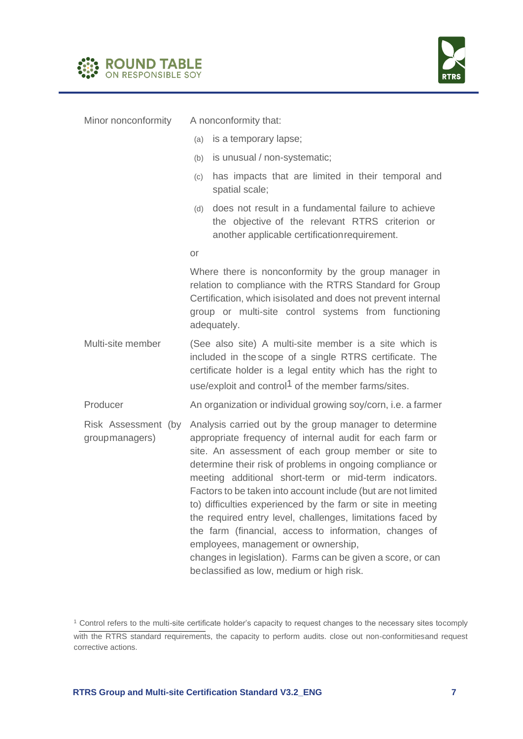



| Minor nonconformity                   | A nonconformity that:                                                                                                                                                                                                                                                                                                                                                                                                                                                                                                                                                                                                                                                                                      |
|---------------------------------------|------------------------------------------------------------------------------------------------------------------------------------------------------------------------------------------------------------------------------------------------------------------------------------------------------------------------------------------------------------------------------------------------------------------------------------------------------------------------------------------------------------------------------------------------------------------------------------------------------------------------------------------------------------------------------------------------------------|
|                                       | is a temporary lapse;<br>(a)                                                                                                                                                                                                                                                                                                                                                                                                                                                                                                                                                                                                                                                                               |
|                                       | is unusual / non-systematic;<br>(b)                                                                                                                                                                                                                                                                                                                                                                                                                                                                                                                                                                                                                                                                        |
|                                       | has impacts that are limited in their temporal and<br>(c)<br>spatial scale;                                                                                                                                                                                                                                                                                                                                                                                                                                                                                                                                                                                                                                |
|                                       | does not result in a fundamental failure to achieve<br>(d)<br>the objective of the relevant RTRS criterion or<br>another applicable certification requirement.                                                                                                                                                                                                                                                                                                                                                                                                                                                                                                                                             |
|                                       | <b>or</b>                                                                                                                                                                                                                                                                                                                                                                                                                                                                                                                                                                                                                                                                                                  |
|                                       | Where there is nonconformity by the group manager in<br>relation to compliance with the RTRS Standard for Group<br>Certification, which is isolated and does not prevent internal<br>group or multi-site control systems from functioning<br>adequately.                                                                                                                                                                                                                                                                                                                                                                                                                                                   |
| Multi-site member                     | (See also site) A multi-site member is a site which is<br>included in the scope of a single RTRS certificate. The<br>certificate holder is a legal entity which has the right to<br>use/exploit and control <sup>1</sup> of the member farms/sites.                                                                                                                                                                                                                                                                                                                                                                                                                                                        |
| Producer                              | An organization or individual growing soy/corn, i.e. a farmer                                                                                                                                                                                                                                                                                                                                                                                                                                                                                                                                                                                                                                              |
| Risk Assessment (by<br>groupmanagers) | Analysis carried out by the group manager to determine<br>appropriate frequency of internal audit for each farm or<br>site. An assessment of each group member or site to<br>determine their risk of problems in ongoing compliance or<br>meeting additional short-term or mid-term indicators.<br>Factors to be taken into account include (but are not limited<br>to) difficulties experienced by the farm or site in meeting<br>the required entry level, challenges, limitations faced by<br>the farm (financial, access to information, changes of<br>employees, management or ownership,<br>changes in legislation). Farms can be given a score, or can<br>beclassified as low, medium or high risk. |

<sup>1</sup> Control refers to the multi-site certificate holder's capacity to request changes to the necessary sites tocomply with the RTRS standard requirements, the capacity to perform audits. close out non-conformitiesand request corrective actions.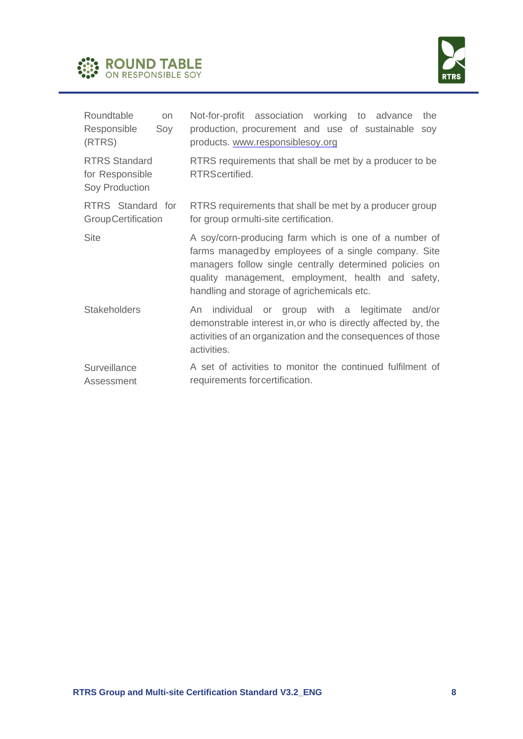



| Roundtable<br><b>on</b><br>Responsible<br>Soy<br>(RTRS)   | Not-for-profit association working to advance<br>the<br>production, procurement and use of sustainable soy<br>products. www.responsiblesoy.org                                                                                                                               |
|-----------------------------------------------------------|------------------------------------------------------------------------------------------------------------------------------------------------------------------------------------------------------------------------------------------------------------------------------|
| <b>RTRS Standard</b><br>for Responsible<br>Soy Production | RTRS requirements that shall be met by a producer to be<br>RTRScertified.                                                                                                                                                                                                    |
| RTRS Standard for<br><b>GroupCertification</b>            | RTRS requirements that shall be met by a producer group<br>for group or multi-site certification.                                                                                                                                                                            |
| <b>Site</b>                                               | A soy/corn-producing farm which is one of a number of<br>farms managed by employees of a single company. Site<br>managers follow single centrally determined policies on<br>quality management, employment, health and safety,<br>handling and storage of agrichemicals etc. |
| <b>Stakeholders</b>                                       | individual or group with a legitimate and/or<br>An<br>demonstrable interest in, or who is directly affected by, the<br>activities of an organization and the consequences of those<br>activities.                                                                            |
| Surveillance<br>Assessment                                | A set of activities to monitor the continued fulfilment of<br>requirements for certification.                                                                                                                                                                                |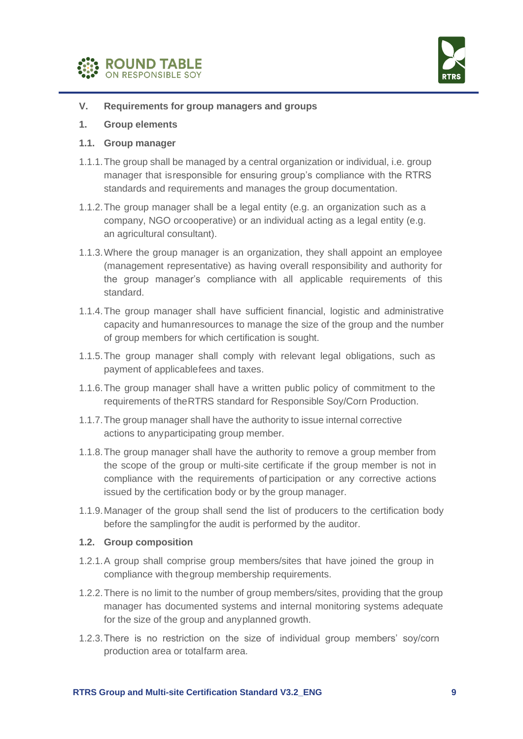



- **V. Requirements for group managers and groups**
- **1. Group elements**
- **1.1. Group manager**
- 1.1.1.The group shall be managed by a central organization or individual, i.e. group manager that isresponsible for ensuring group's compliance with the RTRS standards and requirements and manages the group documentation.
- 1.1.2.The group manager shall be a legal entity (e.g. an organization such as a company, NGO orcooperative) or an individual acting as a legal entity (e.g. an agricultural consultant).
- 1.1.3.Where the group manager is an organization, they shall appoint an employee (management representative) as having overall responsibility and authority for the group manager's compliance with all applicable requirements of this standard.
- 1.1.4.The group manager shall have sufficient financial, logistic and administrative capacity and humanresources to manage the size of the group and the number of group members for which certification is sought.
- 1.1.5.The group manager shall comply with relevant legal obligations, such as payment of applicablefees and taxes.
- 1.1.6.The group manager shall have a written public policy of commitment to the requirements of theRTRS standard for Responsible Soy/Corn Production.
- 1.1.7.The group manager shall have the authority to issue internal corrective actions to anyparticipating group member.
- 1.1.8.The group manager shall have the authority to remove a group member from the scope of the group or multi-site certificate if the group member is not in compliance with the requirements of participation or any corrective actions issued by the certification body or by the group manager.
- 1.1.9.Manager of the group shall send the list of producers to the certification body before the samplingfor the audit is performed by the auditor.

#### **1.2. Group composition**

- 1.2.1.A group shall comprise group members/sites that have joined the group in compliance with thegroup membership requirements.
- 1.2.2.There is no limit to the number of group members/sites, providing that the group manager has documented systems and internal monitoring systems adequate for the size of the group and anyplanned growth.
- 1.2.3.There is no restriction on the size of individual group members' soy/corn production area or totalfarm area.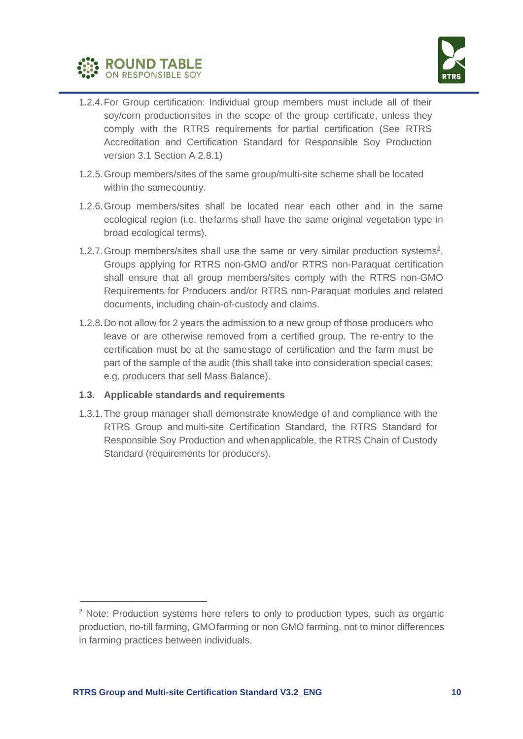



- 1.2.4.For Group certification: Individual group members must include all of their soy/corn production sites in the scope of the group certificate, unless they comply with the RTRS requirements for partial certification (See RTRS Accreditation and Certification Standard for Responsible Soy Production version 3.1 Section A 2.8.1)
- 1.2.5.Group members/sites of the same group/multi-site scheme shall be located within the samecountry.
- 1.2.6.Group members/sites shall be located near each other and in the same ecological region (i.e. thefarms shall have the same original vegetation type in broad ecological terms).
- 1.2.7. Group members/sites shall use the same or very similar production systems<sup>2</sup>. Groups applying for RTRS non-GMO and/or RTRS non-Paraquat certification shall ensure that all group members/sites comply with the RTRS non-GMO Requirements for Producers and/or RTRS non-Paraquat modules and related documents, including chain-of-custody and claims.
- 1.2.8.Do not allow for 2 years the admission to a new group of those producers who leave or are otherwise removed from a certified group. The re-entry to the certification must be at the samestage of certification and the farm must be part of the sample of the audit (this shall take into consideration special cases; e.g. producers that sell Mass Balance).

## **1.3. Applicable standards and requirements**

1.3.1.The group manager shall demonstrate knowledge of and compliance with the RTRS Group and multi-site Certification Standard, the RTRS Standard for Responsible Soy Production and whenapplicable, the RTRS Chain of Custody Standard (requirements for producers).

<sup>&</sup>lt;sup>2</sup> Note: Production systems here refers to only to production types, such as organic production, no-till farming, GMOfarming or non GMO farming, not to minor differences in farming practices between individuals.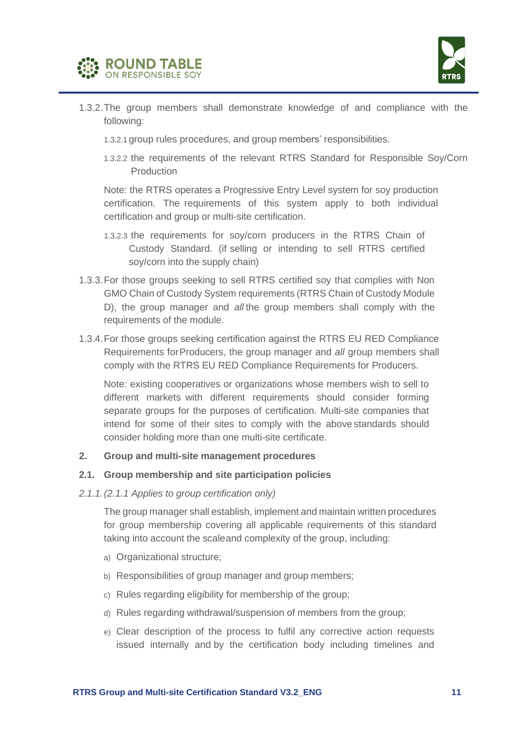



- 1.3.2.The group members shall demonstrate knowledge of and compliance with the following:
	- 1.3.2.1 group rules procedures, and group members' responsibilities.
	- 1.3.2.2 the requirements of the relevant RTRS Standard for Responsible Soy/Corn Production

Note: the RTRS operates a Progressive Entry Level system for soy production certification. The requirements of this system apply to both individual certification and group or multi-site certification.

- 1.3.2.3 the requirements for soy/corn producers in the RTRS Chain of Custody Standard. (if selling or intending to sell RTRS certified soy/corn into the supply chain)
- 1.3.3.For those groups seeking to sell RTRS certified soy that complies with Non GMO Chain of Custody System requirements (RTRS Chain of Custody Module D), the group manager and *all* the group members shall comply with the requirements of the module.
- 1.3.4.For those groups seeking certification against the RTRS EU RED Compliance Requirements forProducers, the group manager and *all* group members shall comply with the RTRS EU RED Compliance Requirements for Producers.

Note: existing cooperatives or organizations whose members wish to sell to different markets with different requirements should consider forming separate groups for the purposes of certification. Multi-site companies that intend for some of their sites to comply with the above standards should consider holding more than one multi-site certificate.

#### **2. Group and multi-site management procedures**

#### **2.1. Group membership and site participation policies**

#### *2.1.1.(2.1.1 Applies to group certification only)*

The group manager shall establish, implement and maintain written procedures for group membership covering all applicable requirements of this standard taking into account the scaleand complexity of the group, including:

- a) Organizational structure;
- b) Responsibilities of group manager and group members;
- c) Rules regarding eligibility for membership of the group;
- d) Rules regarding withdrawal/suspension of members from the group;
- e) Clear description of the process to fulfil any corrective action requests issued internally and by the certification body including timelines and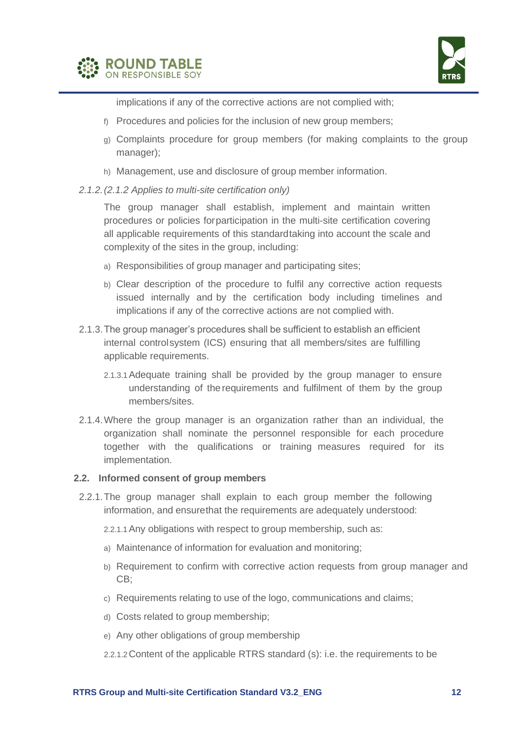



implications if any of the corrective actions are not complied with;

- f) Procedures and policies for the inclusion of new group members;
- g) Complaints procedure for group members (for making complaints to the group manager);
- h) Management, use and disclosure of group member information.
- *2.1.2.(2.1.2 Applies to multi-site certification only)*

The group manager shall establish, implement and maintain written procedures or policies forparticipation in the multi-site certification covering all applicable requirements of this standardtaking into account the scale and complexity of the sites in the group, including:

- a) Responsibilities of group manager and participating sites;
- b) Clear description of the procedure to fulfil any corrective action requests issued internally and by the certification body including timelines and implications if any of the corrective actions are not complied with.
- 2.1.3.The group manager's procedures shall be sufficient to establish an efficient internal controlsystem (ICS) ensuring that all members/sites are fulfilling applicable requirements.
	- 2.1.3.1Adequate training shall be provided by the group manager to ensure understanding of the requirements and fulfilment of them by the group members/sites.
- 2.1.4.Where the group manager is an organization rather than an individual, the organization shall nominate the personnel responsible for each procedure together with the qualifications or training measures required for its implementation.

#### **2.2. Informed consent of group members**

- 2.2.1.The group manager shall explain to each group member the following information, and ensurethat the requirements are adequately understood:
	- 2.2.1.1Any obligations with respect to group membership, such as:
	- a) Maintenance of information for evaluation and monitoring;
	- b) Requirement to confirm with corrective action requests from group manager and CB;
	- c) Requirements relating to use of the logo, communications and claims;
	- d) Costs related to group membership;
	- e) Any other obligations of group membership
	- 2.2.1.2Content of the applicable RTRS standard (s): i.e. the requirements to be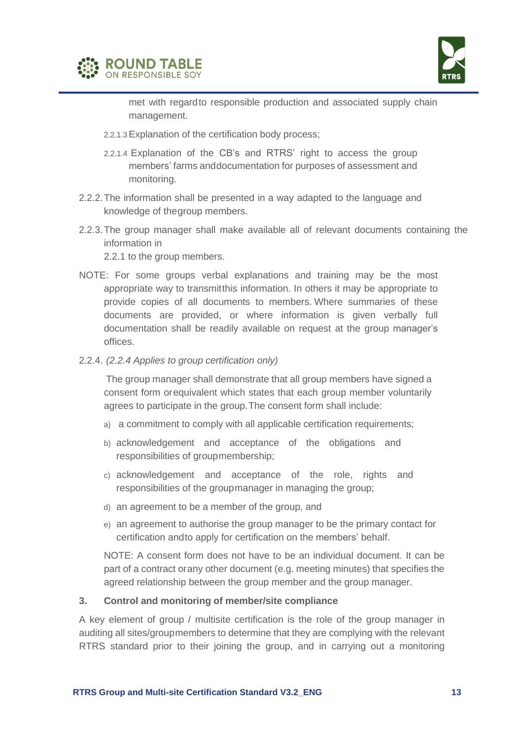



met with regardto responsible production and associated supply chain management.

- 2.2.1.3Explanation of the certification body process;
- 2.2.1.4 Explanation of the CB's and RTRS' right to access the group members' farms anddocumentation for purposes of assessment and monitoring.
- 2.2.2.The information shall be presented in a way adapted to the language and knowledge of thegroup members.
- 2.2.3.The group manager shall make available all of relevant documents containing the information in

2.2.1 to the group members.

- NOTE: For some groups verbal explanations and training may be the most appropriate way to transmitthis information. In others it may be appropriate to provide copies of all documents to members. Where summaries of these documents are provided, or where information is given verbally full documentation shall be readily available on request at the group manager's offices.
- 2.2.4. *(2.2.4 Applies to group certification only)*

The group manager shall demonstrate that all group members have signed a consent form orequivalent which states that each group member voluntarily agrees to participate in the group.The consent form shall include:

- a) a commitment to comply with all applicable certification requirements;
- b) acknowledgement and acceptance of the obligations and responsibilities of groupmembership;
- c) acknowledgement and acceptance of the role, rights and responsibilities of the groupmanager in managing the group;
- d) an agreement to be a member of the group, and
- e) an agreement to authorise the group manager to be the primary contact for certification andto apply for certification on the members' behalf.

NOTE: A consent form does not have to be an individual document. It can be part of a contract orany other document (e.g. meeting minutes) that specifies the agreed relationship between the group member and the group manager.

#### **3. Control and monitoring of member/site compliance**

A key element of group / multisite certification is the role of the group manager in auditing all sites/groupmembers to determine that they are complying with the relevant RTRS standard prior to their joining the group, and in carrying out a monitoring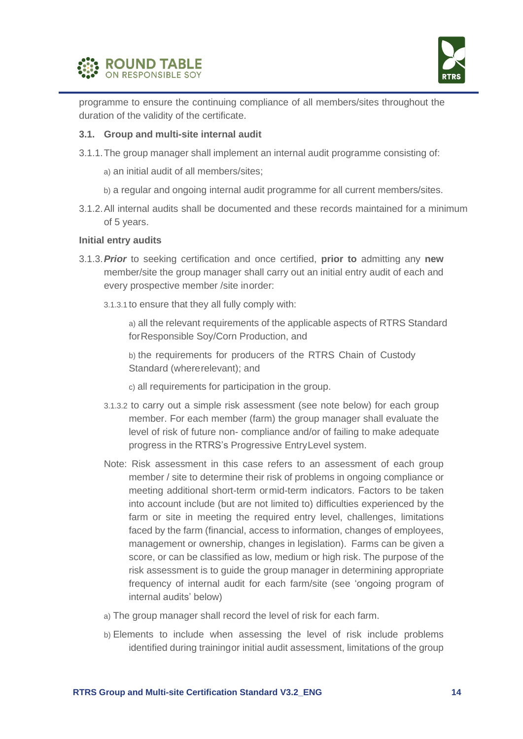



programme to ensure the continuing compliance of all members/sites throughout the duration of the validity of the certificate.

#### **3.1. Group and multi-site internal audit**

- 3.1.1.The group manager shall implement an internal audit programme consisting of:
	- a) an initial audit of all members/sites;
	- b) a regular and ongoing internal audit programme for all current members/sites.
- 3.1.2.All internal audits shall be documented and these records maintained for a minimum of 5 years.

#### **Initial entry audits**

- 3.1.3.*Prior* to seeking certification and once certified, **prior to** admitting any **new**  member/site the group manager shall carry out an initial entry audit of each and every prospective member /site inorder:
	- 3.1.3.1 to ensure that they all fully comply with:

a) all the relevant requirements of the applicable aspects of RTRS Standard forResponsible Soy/Corn Production, and

b) the requirements for producers of the RTRS Chain of Custody Standard (whererelevant); and

- c) all requirements for participation in the group.
- 3.1.3.2 to carry out a simple risk assessment (see note below) for each group member. For each member (farm) the group manager shall evaluate the level of risk of future non- compliance and/or of failing to make adequate progress in the RTRS's Progressive EntryLevel system.
- Note: Risk assessment in this case refers to an assessment of each group member / site to determine their risk of problems in ongoing compliance or meeting additional short-term ormid-term indicators. Factors to be taken into account include (but are not limited to) difficulties experienced by the farm or site in meeting the required entry level, challenges, limitations faced by the farm (financial, access to information, changes of employees, management or ownership, changes in legislation). Farms can be given a score, or can be classified as low, medium or high risk. The purpose of the risk assessment is to guide the group manager in determining appropriate frequency of internal audit for each farm/site (see 'ongoing program of internal audits' below)
- a) The group manager shall record the level of risk for each farm.
- b) Elements to include when assessing the level of risk include problems identified during trainingor initial audit assessment, limitations of the group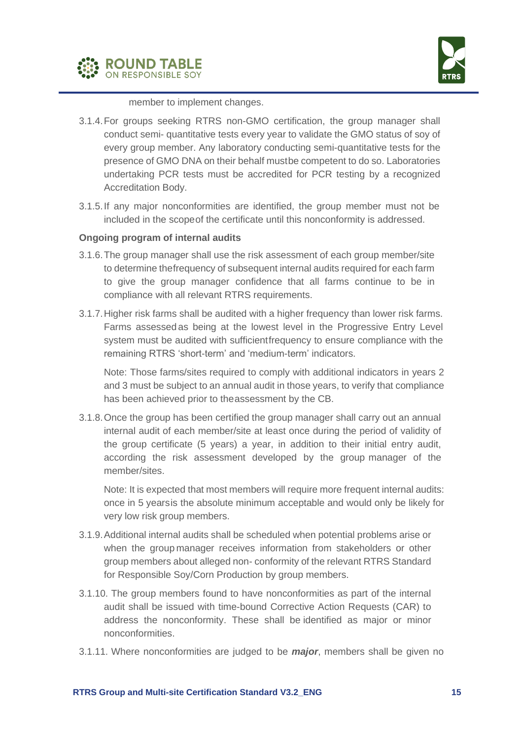



member to implement changes.

- 3.1.4.For groups seeking RTRS non-GMO certification, the group manager shall conduct semi- quantitative tests every year to validate the GMO status of soy of every group member. Any laboratory conducting semi-quantitative tests for the presence of GMO DNA on their behalf mustbe competent to do so. Laboratories undertaking PCR tests must be accredited for PCR testing by a recognized Accreditation Body.
- 3.1.5.If any major nonconformities are identified, the group member must not be included in the scopeof the certificate until this nonconformity is addressed.

#### **Ongoing program of internal audits**

- 3.1.6.The group manager shall use the risk assessment of each group member/site to determine thefrequency of subsequent internal audits required for each farm to give the group manager confidence that all farms continue to be in compliance with all relevant RTRS requirements.
- 3.1.7.Higher risk farms shall be audited with a higher frequency than lower risk farms. Farms assessed as being at the lowest level in the Progressive Entry Level system must be audited with sufficientfrequency to ensure compliance with the remaining RTRS 'short-term' and 'medium-term' indicators.

Note: Those farms/sites required to comply with additional indicators in years 2 and 3 must be subject to an annual audit in those years, to verify that compliance has been achieved prior to theassessment by the CB.

3.1.8.Once the group has been certified the group manager shall carry out an annual internal audit of each member/site at least once during the period of validity of the group certificate (5 years) a year, in addition to their initial entry audit, according the risk assessment developed by the group manager of the member/sites.

Note: It is expected that most members will require more frequent internal audits: once in 5 yearsis the absolute minimum acceptable and would only be likely for very low risk group members.

- 3.1.9.Additional internal audits shall be scheduled when potential problems arise or when the group manager receives information from stakeholders or other group members about alleged non- conformity of the relevant RTRS Standard for Responsible Soy/Corn Production by group members.
- 3.1.10. The group members found to have nonconformities as part of the internal audit shall be issued with time-bound Corrective Action Requests (CAR) to address the nonconformity. These shall be identified as major or minor nonconformities.
- 3.1.11. Where nonconformities are judged to be *major*, members shall be given no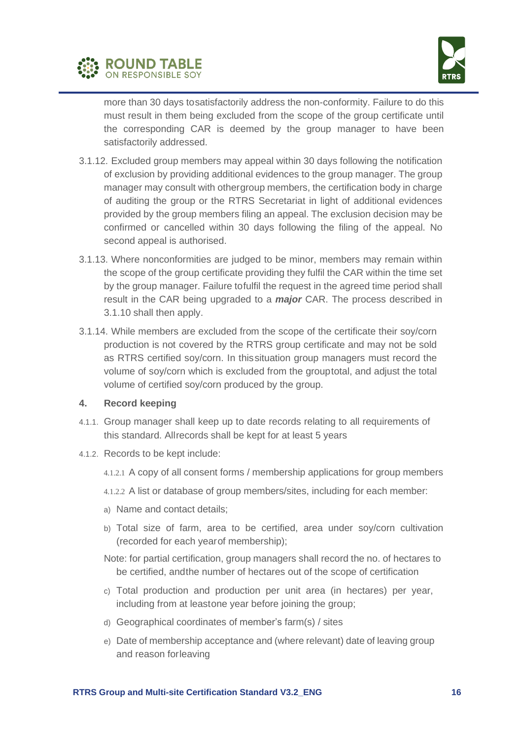



more than 30 days tosatisfactorily address the non-conformity. Failure to do this must result in them being excluded from the scope of the group certificate until the corresponding CAR is deemed by the group manager to have been satisfactorily addressed.

- 3.1.12. Excluded group members may appeal within 30 days following the notification of exclusion by providing additional evidences to the group manager. The group manager may consult with othergroup members, the certification body in charge of auditing the group or the RTRS Secretariat in light of additional evidences provided by the group members filing an appeal. The exclusion decision may be confirmed or cancelled within 30 days following the filing of the appeal. No second appeal is authorised.
- 3.1.13. Where nonconformities are judged to be minor, members may remain within the scope of the group certificate providing they fulfil the CAR within the time set by the group manager. Failure tofulfil the request in the agreed time period shall result in the CAR being upgraded to a *major* CAR. The process described in 3.1.10 shall then apply.
- 3.1.14. While members are excluded from the scope of the certificate their soy/corn production is not covered by the RTRS group certificate and may not be sold as RTRS certified soy/corn. In thissituation group managers must record the volume of soy/corn which is excluded from the grouptotal, and adjust the total volume of certified soy/corn produced by the group.

#### **4. Record keeping**

- 4.1.1. Group manager shall keep up to date records relating to all requirements of this standard. Allrecords shall be kept for at least 5 years
- 4.1.2. Records to be kept include:
	- 4.1.2.1 A copy of all consent forms / membership applications for group members
	- 4.1.2.2 A list or database of group members/sites, including for each member:
	- a) Name and contact details;
	- b) Total size of farm, area to be certified, area under soy/corn cultivation (recorded for each yearof membership);
	- Note: for partial certification, group managers shall record the no. of hectares to be certified, andthe number of hectares out of the scope of certification
	- c) Total production and production per unit area (in hectares) per year, including from at leastone year before joining the group;
	- d) Geographical coordinates of member's farm(s) / sites
	- e) Date of membership acceptance and (where relevant) date of leaving group and reason forleaving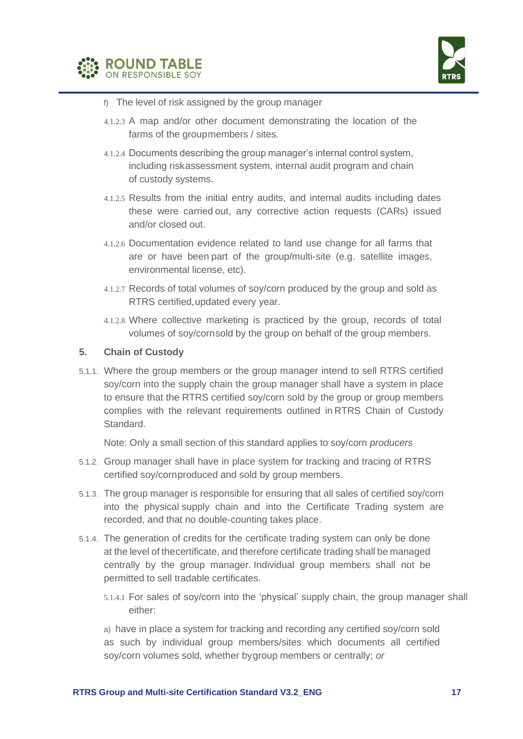



- f) The level of risk assigned by the group manager
- 4.1.2.3 A map and/or other document demonstrating the location of the farms of the groupmembers / sites.
- 4.1.2.4 Documents describing the group manager's internal control system, including riskassessment system, internal audit program and chain of custody systems.
- 4.1.2.5 Results from the initial entry audits, and internal audits including dates these were carried out, any corrective action requests (CARs) issued and/or closed out.
- 4.1.2.6 Documentation evidence related to land use change for all farms that are or have been part of the group/multi-site (e.g. satellite images, environmental license, etc).
- 4.1.2.7 Records of total volumes of soy/corn produced by the group and sold as RTRS certified,updated every year.
- 4.1.2.8 Where collective marketing is practiced by the group, records of total volumes of soy/cornsold by the group on behalf of the group members.

#### **5. Chain of Custody**

5.1.1. Where the group members or the group manager intend to sell RTRS certified soy/corn into the supply chain the group manager shall have a system in place to ensure that the RTRS certified soy/corn sold by the group or group members complies with the relevant requirements outlined in RTRS Chain of Custody Standard.

Note: Only a small section of this standard applies to soy/corn *producers*

- 5.1.2. Group manager shall have in place system for tracking and tracing of RTRS certified soy/cornproduced and sold by group members.
- 5.1.3. The group manager is responsible for ensuring that all sales of certified soy/corn into the physical supply chain and into the Certificate Trading system are recorded, and that no double-counting takes place.
- 5.1.4. The generation of credits for the certificate trading system can only be done at the level of thecertificate, and therefore certificate trading shall be managed centrally by the group manager. Individual group members shall not be permitted to sell tradable certificates.
	- 5.1.4.1 For sales of soy/corn into the 'physical' supply chain, the group manager shall either:

a) have in place a system for tracking and recording any certified soy/corn sold as such by individual group members/sites which documents all certified soy/corn volumes sold, whether bygroup members or centrally; *or*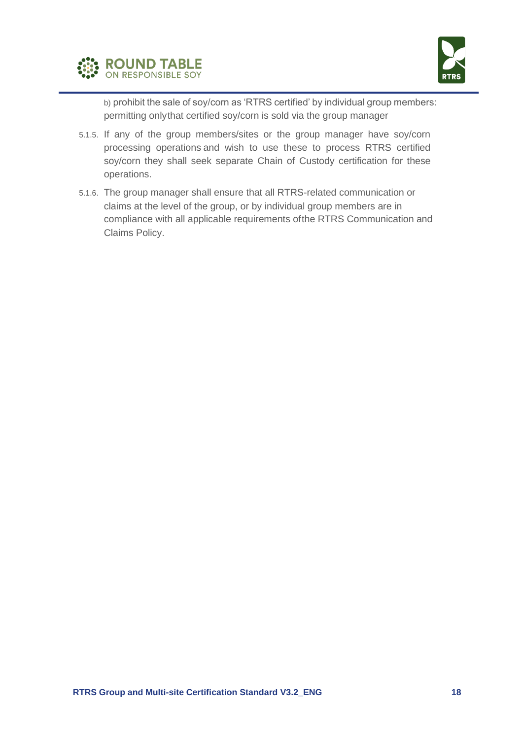



b) prohibit the sale of soy/corn as 'RTRS certified' by individual group members: permitting onlythat certified soy/corn is sold via the group manager

- 5.1.5. If any of the group members/sites or the group manager have soy/corn processing operations and wish to use these to process RTRS certified soy/corn they shall seek separate Chain of Custody certification for these operations.
- 5.1.6. The group manager shall ensure that all RTRS-related communication or claims at the level of the group, or by individual group members are in compliance with all applicable requirements ofthe RTRS Communication and Claims Policy.